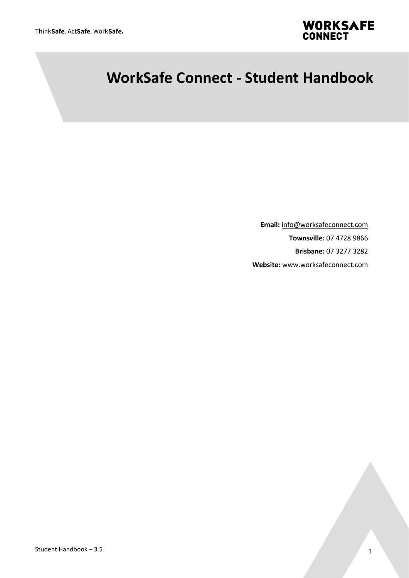

# **WorkSafe Connect - Student Handbook**

**Email:** [info@worksafeconnect.com](mailto:info@worksafeconnect.com) **Townsville:** 07 4728 9866 **Brisbane:** 07 3277 3282 **Website:** www.worksafeconnect.com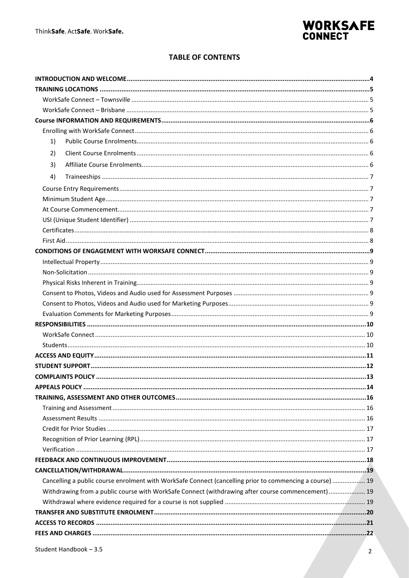

#### **TABLE OF CONTENTS**

| 1) |                                                                                                          |  |
|----|----------------------------------------------------------------------------------------------------------|--|
| 2) |                                                                                                          |  |
| 3) |                                                                                                          |  |
| 4) |                                                                                                          |  |
|    |                                                                                                          |  |
|    |                                                                                                          |  |
|    |                                                                                                          |  |
|    |                                                                                                          |  |
|    |                                                                                                          |  |
|    |                                                                                                          |  |
|    |                                                                                                          |  |
|    |                                                                                                          |  |
|    |                                                                                                          |  |
|    |                                                                                                          |  |
|    |                                                                                                          |  |
|    |                                                                                                          |  |
|    |                                                                                                          |  |
|    |                                                                                                          |  |
|    |                                                                                                          |  |
|    |                                                                                                          |  |
|    |                                                                                                          |  |
|    |                                                                                                          |  |
|    |                                                                                                          |  |
|    |                                                                                                          |  |
|    |                                                                                                          |  |
|    |                                                                                                          |  |
|    |                                                                                                          |  |
|    |                                                                                                          |  |
|    |                                                                                                          |  |
|    |                                                                                                          |  |
|    |                                                                                                          |  |
|    |                                                                                                          |  |
|    | Cancelling a public course enrolment with WorkSafe Connect (cancelling prior to commencing a course)  19 |  |
|    | Withdrawing from a public course with WorkSafe Connect (withdrawing after course commencement)  19       |  |
|    |                                                                                                          |  |
|    |                                                                                                          |  |
|    |                                                                                                          |  |
|    |                                                                                                          |  |
|    |                                                                                                          |  |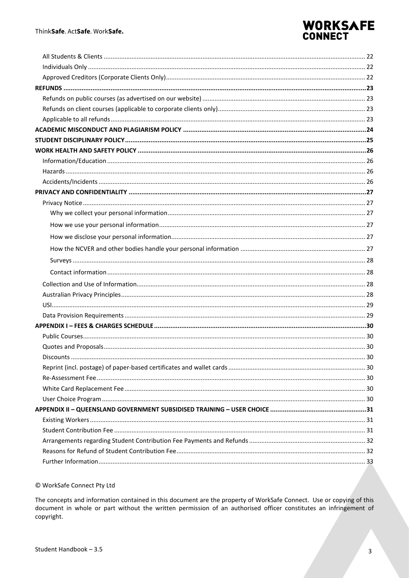# WORKSAFE<br>CONNECT

#### © WorkSafe Connect Pty Ltd

The concepts and information contained in this document are the property of WorkSafe Connect. Use or copying of this document in whole or part without the written permission of an authorised officer constitutes an infringement of copyright.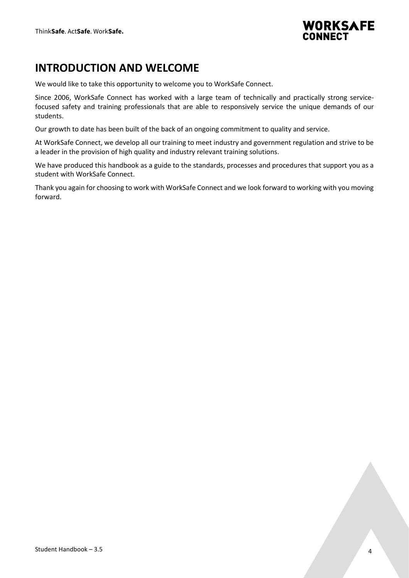

# <span id="page-3-0"></span>**INTRODUCTION AND WELCOME**

We would like to take this opportunity to welcome you to WorkSafe Connect.

Since 2006, WorkSafe Connect has worked with a large team of technically and practically strong servicefocused safety and training professionals that are able to responsively service the unique demands of our students.

Our growth to date has been built of the back of an ongoing commitment to quality and service.

At WorkSafe Connect, we develop all our training to meet industry and government regulation and strive to be a leader in the provision of high quality and industry relevant training solutions.

We have produced this handbook as a guide to the standards, processes and procedures that support you as a student with WorkSafe Connect.

Thank you again for choosing to work with WorkSafe Connect and we look forward to working with you moving forward.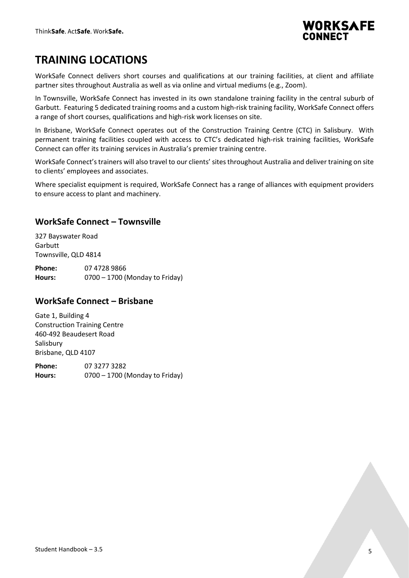

# <span id="page-4-0"></span>**TRAINING LOCATIONS**

WorkSafe Connect delivers short courses and qualifications at our training facilities, at client and affiliate partner sites throughout Australia as well as via online and virtual mediums (e.g., Zoom).

In Townsville, WorkSafe Connect has invested in its own standalone training facility in the central suburb of Garbutt. Featuring 5 dedicated training rooms and a custom high-risk training facility, WorkSafe Connect offers a range of short courses, qualifications and high-risk work licenses on site.

In Brisbane, WorkSafe Connect operates out of the Construction Training Centre (CTC) in Salisbury. With permanent training facilities coupled with access to CTC's dedicated high-risk training facilities, WorkSafe Connect can offer its training services in Australia's premier training centre.

WorkSafe Connect's trainers will also travel to our clients' sites throughout Australia and deliver training on site to clients' employees and associates.

Where specialist equipment is required, WorkSafe Connect has a range of alliances with equipment providers to ensure access to plant and machinery.

### <span id="page-4-1"></span>**WorkSafe Connect – Townsville**

327 Bayswater Road **Garbutt** Townsville, QLD 4814

**Phone:** 07 4728 9866 **Hours:** 0700 – 1700 (Monday to Friday)

### <span id="page-4-2"></span>**WorkSafe Connect – Brisbane**

Gate 1, Building 4 Construction Training Centre 460-492 Beaudesert Road Salisbury Brisbane, QLD 4107

**Phone:** 07 3277 3282 **Hours:** 0700 – 1700 (Monday to Friday)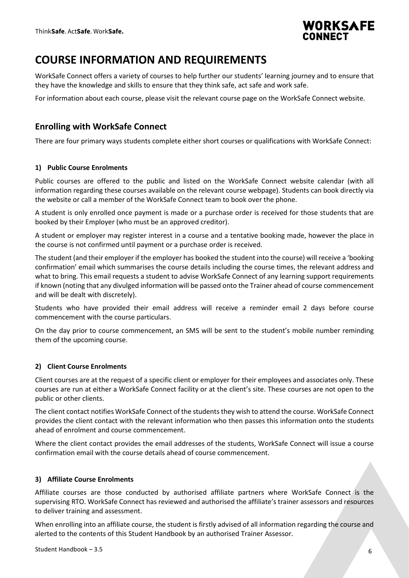

### <span id="page-5-0"></span>**COURSE INFORMATION AND REQUIREMENTS**

WorkSafe Connect offers a variety of courses to help further our students' learning journey and to ensure that they have the knowledge and skills to ensure that they think safe, act safe and work safe.

For information about each course, please visit the relevant course page on the WorkSafe Connect website.

### <span id="page-5-1"></span>**Enrolling with WorkSafe Connect**

There are four primary ways students complete either short courses or qualifications with WorkSafe Connect:

#### <span id="page-5-2"></span>**1) Public Course Enrolments**

Public courses are offered to the public and listed on the WorkSafe Connect website calendar (with all information regarding these courses available on the relevant course webpage). Students can book directly via the website or call a member of the WorkSafe Connect team to book over the phone.

A student is only enrolled once payment is made or a purchase order is received for those students that are booked by their Employer (who must be an approved creditor).

A student or employer may register interest in a course and a tentative booking made, however the place in the course is not confirmed until payment or a purchase order is received.

The student (and their employer if the employer has booked the student into the course) will receive a 'booking confirmation' email which summarises the course details including the course times, the relevant address and what to bring. This email requests a student to advise WorkSafe Connect of any learning support requirements if known (noting that any divulged information will be passed onto the Trainer ahead of course commencement and will be dealt with discretely).

Students who have provided their email address will receive a reminder email 2 days before course commencement with the course particulars.

On the day prior to course commencement, an SMS will be sent to the student's mobile number reminding them of the upcoming course.

#### <span id="page-5-3"></span>**2) Client Course Enrolments**

Client courses are at the request of a specific client or employer for their employees and associates only. These courses are run at either a WorkSafe Connect facility or at the client's site. These courses are not open to the public or other clients.

The client contact notifies WorkSafe Connect of the students they wish to attend the course. WorkSafe Connect provides the client contact with the relevant information who then passes this information onto the students ahead of enrolment and course commencement.

Where the client contact provides the email addresses of the students, WorkSafe Connect will issue a course confirmation email with the course details ahead of course commencement.

#### <span id="page-5-4"></span>**3) Affiliate Course Enrolments**

Affiliate courses are those conducted by authorised affiliate partners where WorkSafe Connect is the supervising RTO. WorkSafe Connect has reviewed and authorised the affiliate's trainer assessors and resources to deliver training and assessment.

When enrolling into an affiliate course, the student is firstly advised of all information regarding the course and alerted to the contents of this Student Handbook by an authorised Trainer Assessor.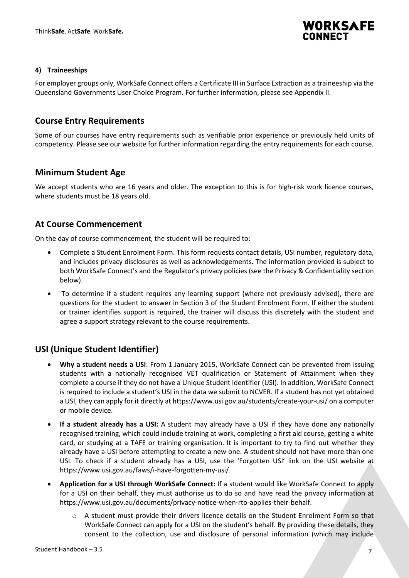

#### <span id="page-6-0"></span>**4) Traineeships**

For employer groups only, WorkSafe Connect offers a Certificate III in Surface Extraction as a traineeship via the Queensland Governments User Choice Program. For further information, please see Appendix II.

### <span id="page-6-1"></span>**Course Entry Requirements**

Some of our courses have entry requirements such as verifiable prior experience or previously held units of competency. Please see our website for further information regarding the entry requirements for each course.

#### <span id="page-6-2"></span>**Minimum Student Age**

We accept students who are 16 years and older. The exception to this is for high-risk work licence courses, where students must be 18 years old.

### <span id="page-6-3"></span>**At Course Commencement**

On the day of course commencement, the student will be required to:

- Complete a Student Enrolment Form. This form requests contact details, USI number, regulatory data, and includes privacy disclosures as well as acknowledgements. The information provided is subject to both WorkSafe Connect's and the Regulator's privacy policies (see the Privacy & Confidentiality section below).
- To determine if a student requires any learning support (where not previously advised), there are questions for the student to answer in Section 3 of the Student Enrolment Form. If either the student or trainer identifies support is required, the trainer will discuss this discretely with the student and agree a support strategy relevant to the course requirements.

### <span id="page-6-4"></span>**USI (Unique Student Identifier)**

- **Why a student needs a USI**: From 1 January 2015, WorkSafe Connect can be prevented from issuing students with a nationally recognised VET qualification or Statement of Attainment when they complete a course if they do not have a Unique Student Identifier (USI). In addition, WorkSafe Connect is required to include a student's USI in the data we submit to NCVER. If a student has not yet obtained a USI, they can apply for it directly a[t https://www.usi.gov.au/students/create-your-usi/](https://www.usi.gov.au/students/create-your-usi/) on a computer or mobile device.
- **If a student already has a USI:** A student may already have a USI if they have done any nationally recognised training, which could include training at work, completing a first aid course, getting a white card, or studying at a TAFE or training organisation. It is important to try to find out whether they already have a USI before attempting to create a new one. A student should not have more than one USI. To check if a student already has a USI, use the 'Forgotten USI' link on the USI website at [https://www.usi.gov.au/faws/i-have-forgotten-my-usi/.](https://www.usi.gov.au/faws/i-have-forgotten-my-usi/)
- **Application for a USI through WorkSafe Connect:** If a student would like WorkSafe Connect to apply for a USI on their behalf, they must authorise us to do so and have read the privacy information at [https://www.usi.gov.au/documents/privacy-notice-when-rto-applies-their-behalf.](https://www.usi.gov.au/documents/privacy-notice-when-rto-applies-their-behalf)
	- A student must provide their drivers licence details on the Student Enrolment Form so that WorkSafe Connect can apply for a USI on the student's behalf. By providing these details, they consent to the collection, use and disclosure of personal information (which may include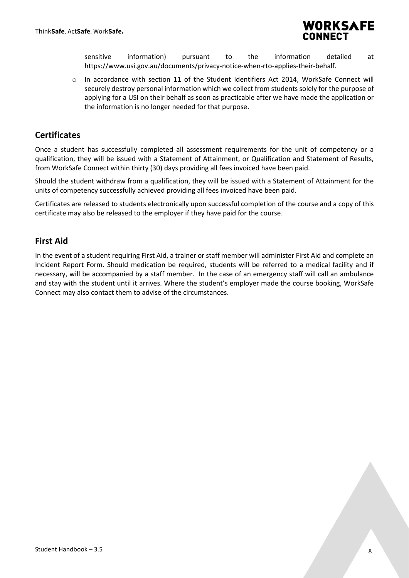

sensitive information) pursuant to the information detailed at [https://www.usi.gov.au/documents/privacy-notice-when-rto-applies-their-behalf.](https://www.usi.gov.au/documents/privacy-notice-when-rto-applies-their-behalf)

o In accordance with section 11 of the Student Identifiers Act 2014, WorkSafe Connect will securely destroy personal information which we collect from students solely for the purpose of applying for a USI on their behalf as soon as practicable after we have made the application or the information is no longer needed for that purpose.

### <span id="page-7-0"></span>**Certificates**

Once a student has successfully completed all assessment requirements for the unit of competency or a qualification, they will be issued with a Statement of Attainment, or Qualification and Statement of Results, from WorkSafe Connect within thirty (30) days providing all fees invoiced have been paid.

Should the student withdraw from a qualification, they will be issued with a Statement of Attainment for the units of competency successfully achieved providing all fees invoiced have been paid.

Certificates are released to students electronically upon successful completion of the course and a copy of this certificate may also be released to the employer if they have paid for the course.

### <span id="page-7-1"></span>**First Aid**

In the event of a student requiring First Aid, a trainer or staff member will administer First Aid and complete an Incident Report Form. Should medication be required, students will be referred to a medical facility and if necessary, will be accompanied by a staff member. In the case of an emergency staff will call an ambulance and stay with the student until it arrives. Where the student's employer made the course booking, WorkSafe Connect may also contact them to advise of the circumstances.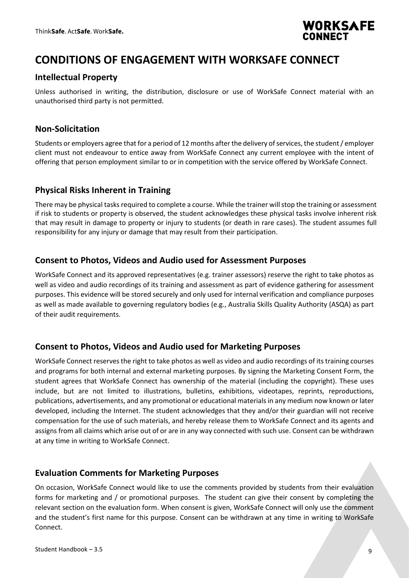

### <span id="page-8-0"></span>**CONDITIONS OF ENGAGEMENT WITH WORKSAFE CONNECT**

### <span id="page-8-1"></span>**Intellectual Property**

Unless authorised in writing, the distribution, disclosure or use of WorkSafe Connect material with an unauthorised third party is not permitted.

### <span id="page-8-2"></span>**Non-Solicitation**

Students or employers agree that for a period of 12 months after the delivery of services, the student / employer client must not endeavour to entice away from WorkSafe Connect any current employee with the intent of offering that person employment similar to or in competition with the service offered by WorkSafe Connect.

### <span id="page-8-3"></span>**Physical Risks Inherent in Training**

There may be physical tasks required to complete a course. While the trainer will stop the training or assessment if risk to students or property is observed, the student acknowledges these physical tasks involve inherent risk that may result in damage to property or injury to students (or death in rare cases). The student assumes full responsibility for any injury or damage that may result from their participation.

### <span id="page-8-4"></span>**Consent to Photos, Videos and Audio used for Assessment Purposes**

WorkSafe Connect and its approved representatives (e.g. trainer assessors) reserve the right to take photos as well as video and audio recordings of its training and assessment as part of evidence gathering for assessment purposes. This evidence will be stored securely and only used for internal verification and compliance purposes as well as made available to governing regulatory bodies (e.g., Australia Skills Quality Authority (ASQA) as part of their audit requirements.

### <span id="page-8-5"></span>**Consent to Photos, Videos and Audio used for Marketing Purposes**

WorkSafe Connect reserves the right to take photos as well as video and audio recordings of its training courses and programs for both internal and external marketing purposes. By signing the Marketing Consent Form, the student agrees that WorkSafe Connect has ownership of the material (including the copyright). These uses include, but are not limited to illustrations, bulletins, exhibitions, videotapes, reprints, reproductions, publications, advertisements, and any promotional or educational materials in any medium now known or later developed, including the Internet. The student acknowledges that they and/or their guardian will not receive compensation for the use of such materials, and hereby release them to WorkSafe Connect and its agents and assigns from all claims which arise out of or are in any way connected with such use. Consent can be withdrawn at any time in writing to WorkSafe Connect.

### <span id="page-8-6"></span>**Evaluation Comments for Marketing Purposes**

On occasion, WorkSafe Connect would like to use the comments provided by students from their evaluation forms for marketing and / or promotional purposes. The student can give their consent by completing the relevant section on the evaluation form. When consent is given, WorkSafe Connect will only use the comment and the student's first name for this purpose. Consent can be withdrawn at any time in writing to WorkSafe Connect.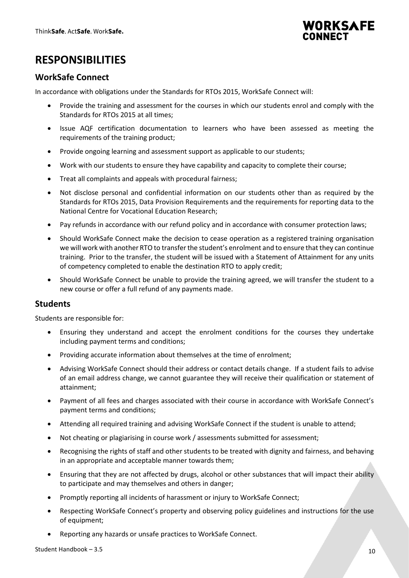

# <span id="page-9-0"></span>**RESPONSIBILITIES**

### <span id="page-9-1"></span>**WorkSafe Connect**

In accordance with obligations under the Standards for RTOs 2015, WorkSafe Connect will:

- Provide the training and assessment for the courses in which our students enrol and comply with the Standards for RTOs 2015 at all times;
- Issue AQF certification documentation to learners who have been assessed as meeting the requirements of the training product;
- Provide ongoing learning and assessment support as applicable to our students;
- Work with our students to ensure they have capability and capacity to complete their course;
- Treat all complaints and appeals with procedural fairness;
- Not disclose personal and confidential information on our students other than as required by the Standards for RTOs 2015, Data Provision Requirements and the requirements for reporting data to the National Centre for Vocational Education Research;
- Pay refunds in accordance with our refund policy and in accordance with consumer protection laws;
- Should WorkSafe Connect make the decision to cease operation as a registered training organisation we will work with another RTO to transfer the student's enrolment and to ensure that they can continue training. Prior to the transfer, the student will be issued with a Statement of Attainment for any units of competency completed to enable the destination RTO to apply credit;
- Should WorkSafe Connect be unable to provide the training agreed, we will transfer the student to a new course or offer a full refund of any payments made.

### <span id="page-9-2"></span>**Students**

Students are responsible for:

- Ensuring they understand and accept the enrolment conditions for the courses they undertake including payment terms and conditions;
- Providing accurate information about themselves at the time of enrolment;
- Advising WorkSafe Connect should their address or contact details change. If a student fails to advise of an email address change, we cannot guarantee they will receive their qualification or statement of attainment;
- Payment of all fees and charges associated with their course in accordance with WorkSafe Connect's payment terms and conditions;
- Attending all required training and advising WorkSafe Connect if the student is unable to attend;
- Not cheating or plagiarising in course work / assessments submitted for assessment;
- Recognising the rights of staff and other students to be treated with dignity and fairness, and behaving in an appropriate and acceptable manner towards them;
- Ensuring that they are not affected by drugs, alcohol or other substances that will impact their ability to participate and may themselves and others in danger;
- Promptly reporting all incidents of harassment or injury to WorkSafe Connect;
- Respecting WorkSafe Connect's property and observing policy guidelines and instructions for the use of equipment;
- Reporting any hazards or unsafe practices to WorkSafe Connect.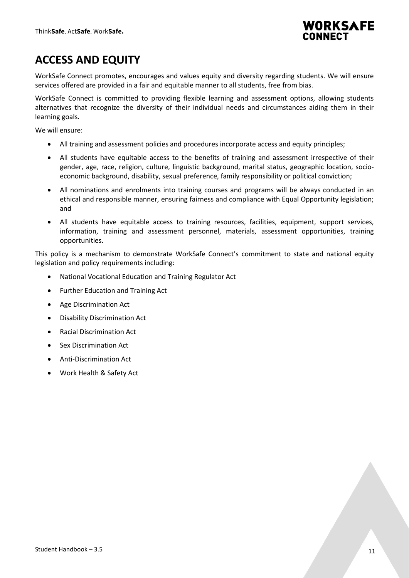

# <span id="page-10-0"></span>**ACCESS AND EQUITY**

WorkSafe Connect promotes, encourages and values equity and diversity regarding students. We will ensure services offered are provided in a fair and equitable manner to all students, free from bias.

WorkSafe Connect is committed to providing flexible learning and assessment options, allowing students alternatives that recognize the diversity of their individual needs and circumstances aiding them in their learning goals.

We will ensure:

- All training and assessment policies and procedures incorporate access and equity principles;
- All students have equitable access to the benefits of training and assessment irrespective of their gender, age, race, religion, culture, linguistic background, marital status, geographic location, socioeconomic background, disability, sexual preference, family responsibility or political conviction;
- All nominations and enrolments into training courses and programs will be always conducted in an ethical and responsible manner, ensuring fairness and compliance with Equal Opportunity legislation; and
- All students have equitable access to training resources, facilities, equipment, support services, information, training and assessment personnel, materials, assessment opportunities, training opportunities.

This policy is a mechanism to demonstrate WorkSafe Connect's commitment to state and national equity legislation and policy requirements including:

- National Vocational Education and Training Regulator Act
- Further Education and Training Act
- Age Discrimination Act
- Disability Discrimination Act
- Racial Discrimination Act
- Sex Discrimination Act
- Anti-Discrimination Act
- Work Health & Safety Act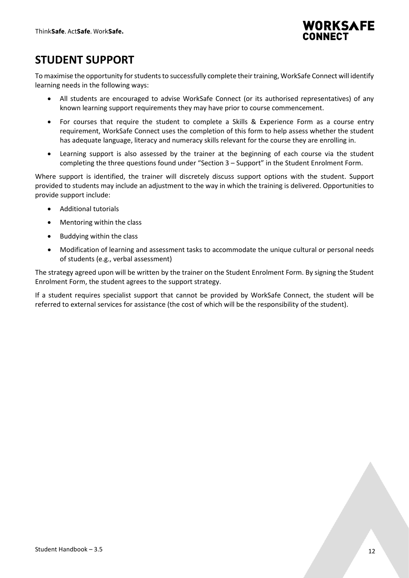

### <span id="page-11-0"></span>**STUDENT SUPPORT**

To maximise the opportunity for students to successfully complete their training, WorkSafe Connect will identify learning needs in the following ways:

- All students are encouraged to advise WorkSafe Connect (or its authorised representatives) of any known learning support requirements they may have prior to course commencement.
- For courses that require the student to complete a Skills & Experience Form as a course entry requirement, WorkSafe Connect uses the completion of this form to help assess whether the student has adequate language, literacy and numeracy skills relevant for the course they are enrolling in.
- Learning support is also assessed by the trainer at the beginning of each course via the student completing the three questions found under "Section 3 – Support" in the Student Enrolment Form.

Where support is identified, the trainer will discretely discuss support options with the student. Support provided to students may include an adjustment to the way in which the training is delivered. Opportunities to provide support include:

- Additional tutorials
- Mentoring within the class
- Buddying within the class
- Modification of learning and assessment tasks to accommodate the unique cultural or personal needs of students (e.g., verbal assessment)

The strategy agreed upon will be written by the trainer on the Student Enrolment Form. By signing the Student Enrolment Form, the student agrees to the support strategy.

If a student requires specialist support that cannot be provided by WorkSafe Connect, the student will be referred to external services for assistance (the cost of which will be the responsibility of the student).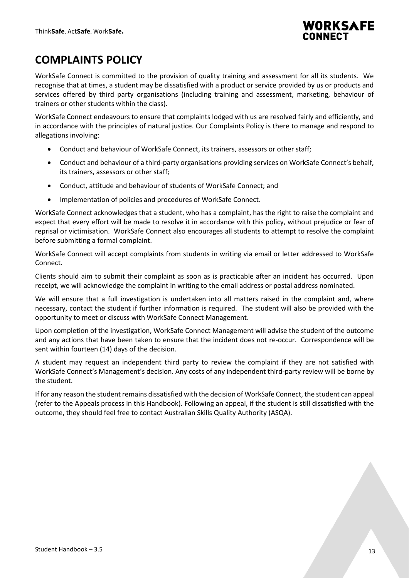

# <span id="page-12-0"></span>**COMPLAINTS POLICY**

WorkSafe Connect is committed to the provision of quality training and assessment for all its students. We recognise that at times, a student may be dissatisfied with a product or service provided by us or products and services offered by third party organisations (including training and assessment, marketing, behaviour of trainers or other students within the class).

WorkSafe Connect endeavours to ensure that complaints lodged with us are resolved fairly and efficiently, and in accordance with the principles of natural justice. Our Complaints Policy is there to manage and respond to allegations involving:

- Conduct and behaviour of WorkSafe Connect, its trainers, assessors or other staff;
- Conduct and behaviour of a third-party organisations providing services on WorkSafe Connect's behalf, its trainers, assessors or other staff;
- Conduct, attitude and behaviour of students of WorkSafe Connect; and
- Implementation of policies and procedures of WorkSafe Connect.

WorkSafe Connect acknowledges that a student, who has a complaint, has the right to raise the complaint and expect that every effort will be made to resolve it in accordance with this policy, without prejudice or fear of reprisal or victimisation. WorkSafe Connect also encourages all students to attempt to resolve the complaint before submitting a formal complaint.

WorkSafe Connect will accept complaints from students in writing via email or letter addressed to WorkSafe Connect.

Clients should aim to submit their complaint as soon as is practicable after an incident has occurred. Upon receipt, we will acknowledge the complaint in writing to the email address or postal address nominated.

We will ensure that a full investigation is undertaken into all matters raised in the complaint and, where necessary, contact the student if further information is required. The student will also be provided with the opportunity to meet or discuss with WorkSafe Connect Management.

Upon completion of the investigation, WorkSafe Connect Management will advise the student of the outcome and any actions that have been taken to ensure that the incident does not re-occur. Correspondence will be sent within fourteen (14) days of the decision.

A student may request an independent third party to review the complaint if they are not satisfied with WorkSafe Connect's Management's decision. Any costs of any independent third-party review will be borne by the student.

If for any reason the student remains dissatisfied with the decision of WorkSafe Connect, the student can appeal (refer to the Appeals process in this Handbook). Following an appeal, if the student is still dissatisfied with the outcome, they should feel free to contact Australian Skills Quality Authority (ASQA).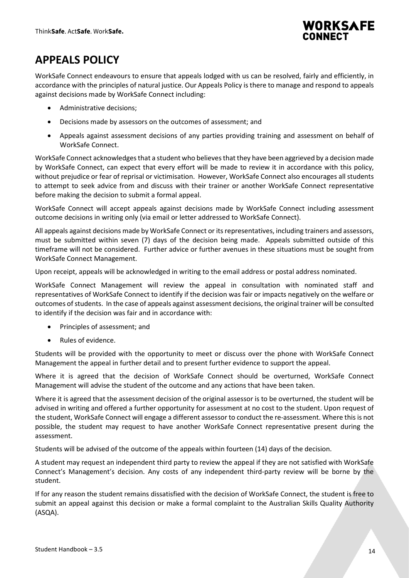

# <span id="page-13-0"></span>**APPEALS POLICY**

WorkSafe Connect endeavours to ensure that appeals lodged with us can be resolved, fairly and efficiently, in accordance with the principles of natural justice. Our Appeals Policy is there to manage and respond to appeals against decisions made by WorkSafe Connect including:

- Administrative decisions;
- Decisions made by assessors on the outcomes of assessment; and
- Appeals against assessment decisions of any parties providing training and assessment on behalf of WorkSafe Connect.

WorkSafe Connect acknowledges that a student who believes that they have been aggrieved by a decision made by WorkSafe Connect, can expect that every effort will be made to review it in accordance with this policy, without prejudice or fear of reprisal or victimisation. However, WorkSafe Connect also encourages all students to attempt to seek advice from and discuss with their trainer or another WorkSafe Connect representative before making the decision to submit a formal appeal.

WorkSafe Connect will accept appeals against decisions made by WorkSafe Connect including assessment outcome decisions in writing only (via email or letter addressed to WorkSafe Connect).

All appeals against decisions made by WorkSafe Connect or its representatives, including trainers and assessors, must be submitted within seven (7) days of the decision being made. Appeals submitted outside of this timeframe will not be considered. Further advice or further avenues in these situations must be sought from WorkSafe Connect Management.

Upon receipt, appeals will be acknowledged in writing to the email address or postal address nominated.

WorkSafe Connect Management will review the appeal in consultation with nominated staff and representatives of WorkSafe Connect to identify if the decision was fair or impacts negatively on the welfare or outcomes of students. In the case of appeals against assessment decisions, the original trainer will be consulted to identify if the decision was fair and in accordance with:

- Principles of assessment; and
- Rules of evidence.

Students will be provided with the opportunity to meet or discuss over the phone with WorkSafe Connect Management the appeal in further detail and to present further evidence to support the appeal.

Where it is agreed that the decision of WorkSafe Connect should be overturned, WorkSafe Connect Management will advise the student of the outcome and any actions that have been taken.

Where it is agreed that the assessment decision of the original assessor is to be overturned, the student will be advised in writing and offered a further opportunity for assessment at no cost to the student. Upon request of the student, WorkSafe Connect will engage a different assessor to conduct the re-assessment. Where this is not possible, the student may request to have another WorkSafe Connect representative present during the assessment.

Students will be advised of the outcome of the appeals within fourteen (14) days of the decision.

A student may request an independent third party to review the appeal if they are not satisfied with WorkSafe Connect's Management's decision. Any costs of any independent third-party review will be borne by the student.

If for any reason the student remains dissatisfied with the decision of WorkSafe Connect, the student is free to submit an appeal against this decision or make a formal complaint to the Australian Skills Quality Authority (ASQA).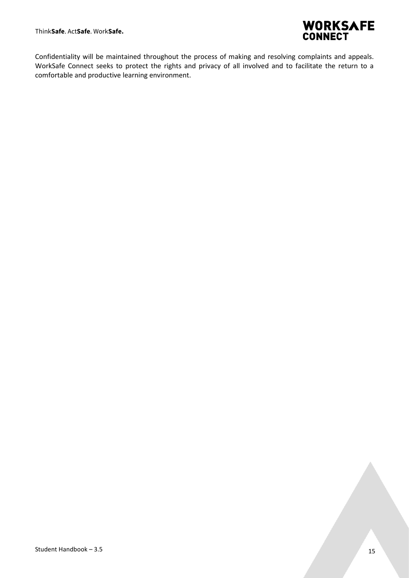

Confidentiality will be maintained throughout the process of making and resolving complaints and appeals. WorkSafe Connect seeks to protect the rights and privacy of all involved and to facilitate the return to a comfortable and productive learning environment.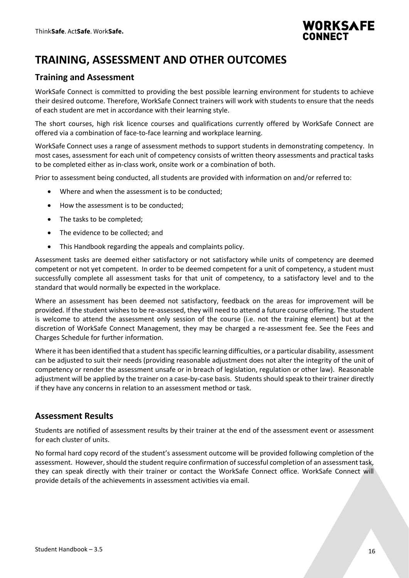

# <span id="page-15-0"></span>**TRAINING, ASSESSMENT AND OTHER OUTCOMES**

### <span id="page-15-1"></span>**Training and Assessment**

WorkSafe Connect is committed to providing the best possible learning environment for students to achieve their desired outcome. Therefore, WorkSafe Connect trainers will work with students to ensure that the needs of each student are met in accordance with their learning style.

The short courses, high risk licence courses and qualifications currently offered by WorkSafe Connect are offered via a combination of face-to-face learning and workplace learning.

WorkSafe Connect uses a range of assessment methods to support students in demonstrating competency. In most cases, assessment for each unit of competency consists of written theory assessments and practical tasks to be completed either as in-class work, onsite work or a combination of both.

Prior to assessment being conducted, all students are provided with information on and/or referred to:

- Where and when the assessment is to be conducted;
- How the assessment is to be conducted;
- The tasks to be completed;
- The evidence to be collected; and
- This Handbook regarding the appeals and complaints policy.

Assessment tasks are deemed either satisfactory or not satisfactory while units of competency are deemed competent or not yet competent. In order to be deemed competent for a unit of competency, a student must successfully complete all assessment tasks for that unit of competency, to a satisfactory level and to the standard that would normally be expected in the workplace.

Where an assessment has been deemed not satisfactory, feedback on the areas for improvement will be provided. If the student wishes to be re-assessed, they will need to attend a future course offering. The student is welcome to attend the assessment only session of the course (i.e. not the training element) but at the discretion of WorkSafe Connect Management, they may be charged a re-assessment fee. See the Fees and Charges Schedule for further information.

Where it has been identified that a student has specific learning difficulties, or a particular disability, assessment can be adjusted to suit their needs (providing reasonable adjustment does not alter the integrity of the unit of competency or render the assessment unsafe or in breach of legislation, regulation or other law). Reasonable adjustment will be applied by the trainer on a case-by-case basis. Students should speak to their trainer directly if they have any concerns in relation to an assessment method or task.

### <span id="page-15-2"></span>**Assessment Results**

Students are notified of assessment results by their trainer at the end of the assessment event or assessment for each cluster of units.

No formal hard copy record of the student's assessment outcome will be provided following completion of the assessment. However, should the student require confirmation of successful completion of an assessment task, they can speak directly with their trainer or contact the WorkSafe Connect office. WorkSafe Connect will provide details of the achievements in assessment activities via email.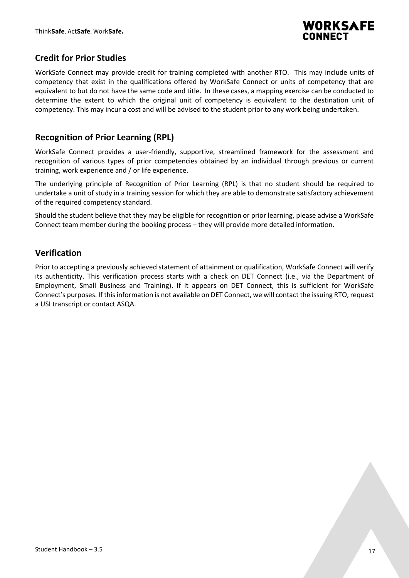

### <span id="page-16-0"></span>**Credit for Prior Studies**

WorkSafe Connect may provide credit for training completed with another RTO. This may include units of competency that exist in the qualifications offered by WorkSafe Connect or units of competency that are equivalent to but do not have the same code and title. In these cases, a mapping exercise can be conducted to determine the extent to which the original unit of competency is equivalent to the destination unit of competency. This may incur a cost and will be advised to the student prior to any work being undertaken.

### <span id="page-16-1"></span>**Recognition of Prior Learning (RPL)**

WorkSafe Connect provides a user-friendly, supportive, streamlined framework for the assessment and recognition of various types of prior competencies obtained by an individual through previous or current training, work experience and / or life experience.

The underlying principle of Recognition of Prior Learning (RPL) is that no student should be required to undertake a unit of study in a training session for which they are able to demonstrate satisfactory achievement of the required competency standard.

Should the student believe that they may be eligible for recognition or prior learning, please advise a WorkSafe Connect team member during the booking process – they will provide more detailed information.

### <span id="page-16-2"></span>**Verification**

Prior to accepting a previously achieved statement of attainment or qualification, WorkSafe Connect will verify its authenticity. This verification process starts with a check on DET Connect (i.e., via the Department of Employment, Small Business and Training). If it appears on DET Connect, this is sufficient for WorkSafe Connect's purposes. If this information is not available on DET Connect, we will contact the issuing RTO, request a USI transcript or contact ASQA.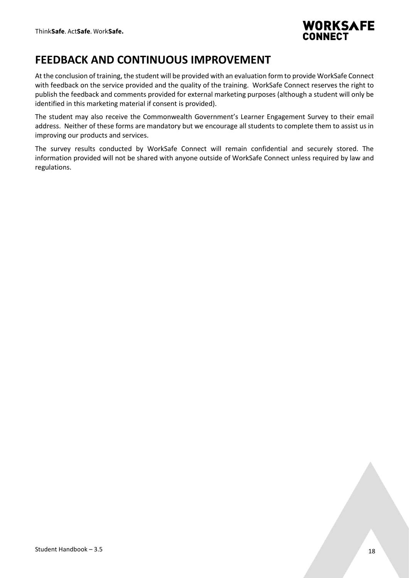

## <span id="page-17-0"></span>**FEEDBACK AND CONTINUOUS IMPROVEMENT**

At the conclusion of training, the student will be provided with an evaluation form to provide WorkSafe Connect with feedback on the service provided and the quality of the training. WorkSafe Connect reserves the right to publish the feedback and comments provided for external marketing purposes (although a student will only be identified in this marketing material if consent is provided).

The student may also receive the Commonwealth Government's Learner Engagement Survey to their email address. Neither of these forms are mandatory but we encourage all students to complete them to assist us in improving our products and services.

The survey results conducted by WorkSafe Connect will remain confidential and securely stored. The information provided will not be shared with anyone outside of WorkSafe Connect unless required by law and regulations.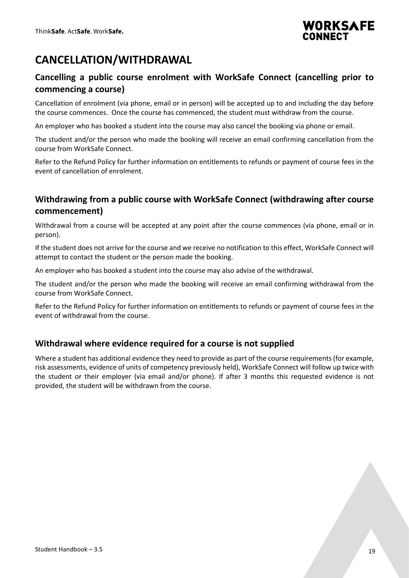

# <span id="page-18-0"></span>**CANCELLATION/WITHDRAWAL**

### <span id="page-18-1"></span>**Cancelling a public course enrolment with WorkSafe Connect (cancelling prior to commencing a course)**

Cancellation of enrolment (via phone, email or in person) will be accepted up to and including the day before the course commences. Once the course has commenced, the student must withdraw from the course.

An employer who has booked a student into the course may also cancel the booking via phone or email.

The student and/or the person who made the booking will receive an email confirming cancellation from the course from WorkSafe Connect.

Refer to the Refund Policy for further information on entitlements to refunds or payment of course fees in the event of cancellation of enrolment.

### <span id="page-18-2"></span>**Withdrawing from a public course with WorkSafe Connect (withdrawing after course commencement)**

Withdrawal from a course will be accepted at any point after the course commences (via phone, email or in person).

If the student does not arrive for the course and we receive no notification to this effect, WorkSafe Connect will attempt to contact the student or the person made the booking.

An employer who has booked a student into the course may also advise of the withdrawal.

The student and/or the person who made the booking will receive an email confirming withdrawal from the course from WorkSafe Connect.

Refer to the Refund Policy for further information on entitlements to refunds or payment of course fees in the event of withdrawal from the course.

### <span id="page-18-3"></span>**Withdrawal where evidence required for a course is not supplied**

Where a student has additional evidence they need to provide as part of the course requirements (for example, risk assessments, evidence of units of competency previously held), WorkSafe Connect will follow up twice with the student or their employer (via email and/or phone). If after 3 months this requested evidence is not provided, the student will be withdrawn from the course.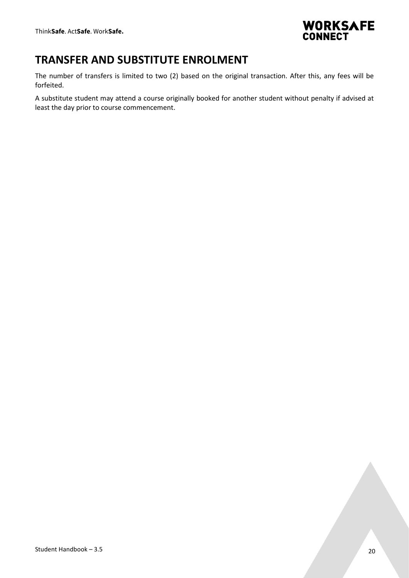

## <span id="page-19-0"></span>**TRANSFER AND SUBSTITUTE ENROLMENT**

The number of transfers is limited to two (2) based on the original transaction. After this, any fees will be forfeited.

A substitute student may attend a course originally booked for another student without penalty if advised at least the day prior to course commencement.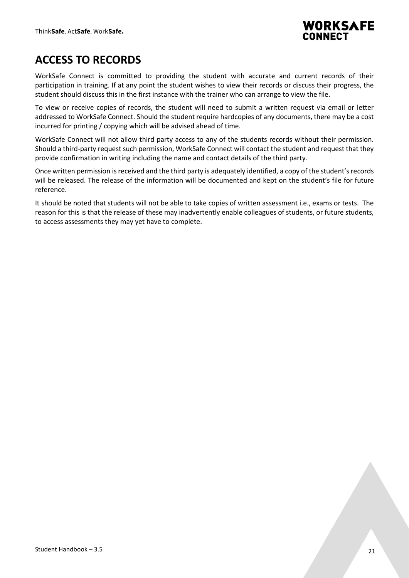

# <span id="page-20-0"></span>**ACCESS TO RECORDS**

WorkSafe Connect is committed to providing the student with accurate and current records of their participation in training. If at any point the student wishes to view their records or discuss their progress, the student should discuss this in the first instance with the trainer who can arrange to view the file.

To view or receive copies of records, the student will need to submit a written request via email or letter addressed to WorkSafe Connect. Should the student require hardcopies of any documents, there may be a cost incurred for printing / copying which will be advised ahead of time.

WorkSafe Connect will not allow third party access to any of the students records without their permission. Should a third-party request such permission, WorkSafe Connect will contact the student and request that they provide confirmation in writing including the name and contact details of the third party.

Once written permission is received and the third party is adequately identified, a copy of the student's records will be released. The release of the information will be documented and kept on the student's file for future reference.

It should be noted that students will not be able to take copies of written assessment i.e., exams or tests. The reason for this is that the release of these may inadvertently enable colleagues of students, or future students, to access assessments they may yet have to complete.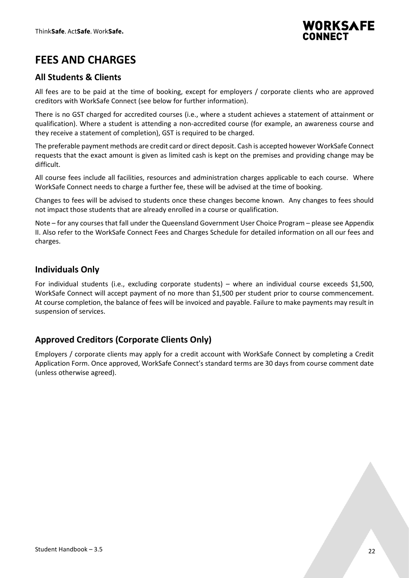

# <span id="page-21-0"></span>**FEES AND CHARGES**

### <span id="page-21-1"></span>**All Students & Clients**

All fees are to be paid at the time of booking, except for employers / corporate clients who are approved creditors with WorkSafe Connect (see below for further information).

There is no GST charged for accredited courses (i.e., where a student achieves a statement of attainment or qualification). Where a student is attending a non-accredited course (for example, an awareness course and they receive a statement of completion), GST is required to be charged.

The preferable payment methods are credit card or direct deposit. Cash is accepted however WorkSafe Connect requests that the exact amount is given as limited cash is kept on the premises and providing change may be difficult.

All course fees include all facilities, resources and administration charges applicable to each course. Where WorkSafe Connect needs to charge a further fee, these will be advised at the time of booking.

Changes to fees will be advised to students once these changes become known. Any changes to fees should not impact those students that are already enrolled in a course or qualification.

Note – for any courses that fall under the Queensland Government User Choice Program – please see Appendix II. Also refer to the WorkSafe Connect Fees and Charges Schedule for detailed information on all our fees and charges.

### <span id="page-21-2"></span>**Individuals Only**

For individual students (i.e., excluding corporate students) – where an individual course exceeds \$1,500, WorkSafe Connect will accept payment of no more than \$1,500 per student prior to course commencement. At course completion, the balance of fees will be invoiced and payable. Failure to make payments may result in suspension of services.

### <span id="page-21-3"></span>**Approved Creditors (Corporate Clients Only)**

Employers / corporate clients may apply for a credit account with WorkSafe Connect by completing a Credit Application Form. Once approved, WorkSafe Connect's standard terms are 30 days from course comment date (unless otherwise agreed).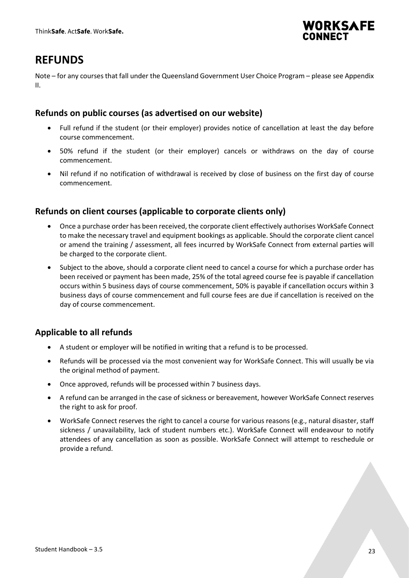

# <span id="page-22-0"></span>**REFUNDS**

Note – for any courses that fall under the Queensland Government User Choice Program – please see Appendix II.

### <span id="page-22-1"></span>**Refunds on public courses (as advertised on our website)**

- Full refund if the student (or their employer) provides notice of cancellation at least the day before course commencement.
- 50% refund if the student (or their employer) cancels or withdraws on the day of course commencement.
- Nil refund if no notification of withdrawal is received by close of business on the first day of course commencement.

### <span id="page-22-2"></span>**Refunds on client courses (applicable to corporate clients only)**

- Once a purchase order has been received, the corporate client effectively authorises WorkSafe Connect to make the necessary travel and equipment bookings as applicable. Should the corporate client cancel or amend the training / assessment, all fees incurred by WorkSafe Connect from external parties will be charged to the corporate client.
- Subject to the above, should a corporate client need to cancel a course for which a purchase order has been received or payment has been made, 25% of the total agreed course fee is payable if cancellation occurs within 5 business days of course commencement, 50% is payable if cancellation occurs within 3 business days of course commencement and full course fees are due if cancellation is received on the day of course commencement.

### <span id="page-22-3"></span>**Applicable to all refunds**

- A student or employer will be notified in writing that a refund is to be processed.
- Refunds will be processed via the most convenient way for WorkSafe Connect. This will usually be via the original method of payment.
- Once approved, refunds will be processed within 7 business days.
- A refund can be arranged in the case of sickness or bereavement, however WorkSafe Connect reserves the right to ask for proof.
- WorkSafe Connect reserves the right to cancel a course for various reasons (e.g., natural disaster, staff sickness / unavailability, lack of student numbers etc.). WorkSafe Connect will endeavour to notify attendees of any cancellation as soon as possible. WorkSafe Connect will attempt to reschedule or provide a refund.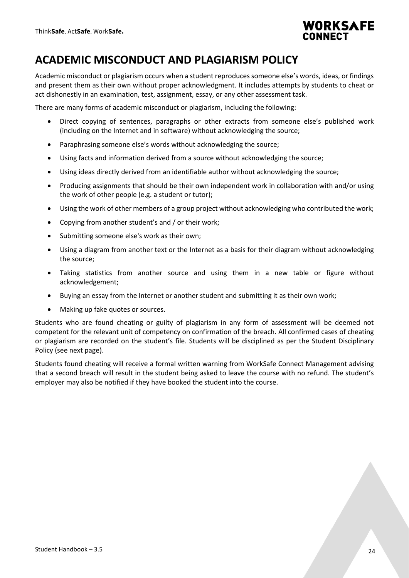

# <span id="page-23-0"></span>**ACADEMIC MISCONDUCT AND PLAGIARISM POLICY**

Academic misconduct or plagiarism occurs when a student reproduces someone else's words, ideas, or findings and present them as their own without proper acknowledgment. It includes attempts by students to cheat or act dishonestly in an examination, test, assignment, essay, or any other assessment task.

There are many forms of academic misconduct or plagiarism, including the following:

- Direct copying of sentences, paragraphs or other extracts from someone else's published work (including on the Internet and in software) without acknowledging the source;
- Paraphrasing someone else's words without acknowledging the source;
- Using facts and information derived from a source without acknowledging the source;
- Using ideas directly derived from an identifiable author without acknowledging the source;
- Producing assignments that should be their own independent work in collaboration with and/or using the work of other people (e.g. a student or tutor);
- Using the work of other members of a group project without acknowledging who contributed the work;
- Copying from another student's and / or their work;
- Submitting someone else's work as their own;
- Using a diagram from another text or the Internet as a basis for their diagram without acknowledging the source;
- Taking statistics from another source and using them in a new table or figure without acknowledgement;
- Buying an essay from the Internet or another student and submitting it as their own work;
- Making up fake quotes or sources.

Students who are found cheating or guilty of plagiarism in any form of assessment will be deemed not competent for the relevant unit of competency on confirmation of the breach. All confirmed cases of cheating or plagiarism are recorded on the student's file. Students will be disciplined as per the Student Disciplinary Policy (see next page).

Students found cheating will receive a formal written warning from WorkSafe Connect Management advising that a second breach will result in the student being asked to leave the course with no refund. The student's employer may also be notified if they have booked the student into the course.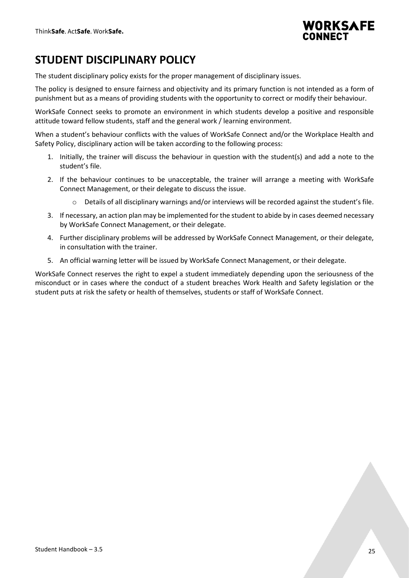

# <span id="page-24-0"></span>**STUDENT DISCIPLINARY POLICY**

The student disciplinary policy exists for the proper management of disciplinary issues.

The policy is designed to ensure fairness and objectivity and its primary function is not intended as a form of punishment but as a means of providing students with the opportunity to correct or modify their behaviour.

WorkSafe Connect seeks to promote an environment in which students develop a positive and responsible attitude toward fellow students, staff and the general work / learning environment.

When a student's behaviour conflicts with the values of WorkSafe Connect and/or the Workplace Health and Safety Policy, disciplinary action will be taken according to the following process:

- 1. Initially, the trainer will discuss the behaviour in question with the student(s) and add a note to the student's file.
- 2. If the behaviour continues to be unacceptable, the trainer will arrange a meeting with WorkSafe Connect Management, or their delegate to discuss the issue.
	- $\circ$  Details of all disciplinary warnings and/or interviews will be recorded against the student's file.
- 3. If necessary, an action plan may be implemented for the student to abide by in cases deemed necessary by WorkSafe Connect Management, or their delegate.
- 4. Further disciplinary problems will be addressed by WorkSafe Connect Management, or their delegate, in consultation with the trainer.
- 5. An official warning letter will be issued by WorkSafe Connect Management, or their delegate.

WorkSafe Connect reserves the right to expel a student immediately depending upon the seriousness of the misconduct or in cases where the conduct of a student breaches Work Health and Safety legislation or the student puts at risk the safety or health of themselves, students or staff of WorkSafe Connect.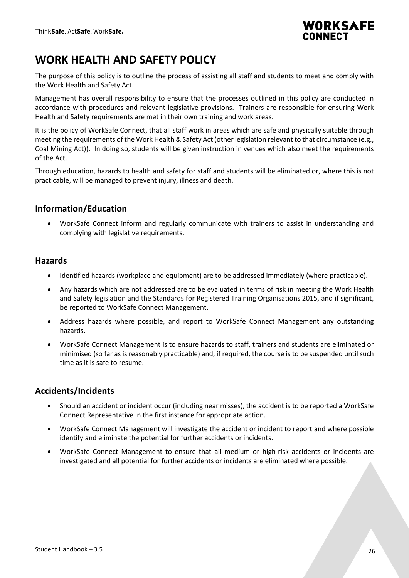

# <span id="page-25-0"></span>**WORK HEALTH AND SAFETY POLICY**

The purpose of this policy is to outline the process of assisting all staff and students to meet and comply with the Work Health and Safety Act.

Management has overall responsibility to ensure that the processes outlined in this policy are conducted in accordance with procedures and relevant legislative provisions. Trainers are responsible for ensuring Work Health and Safety requirements are met in their own training and work areas.

It is the policy of WorkSafe Connect, that all staff work in areas which are safe and physically suitable through meeting the requirements of the Work Health & Safety Act (other legislation relevant to that circumstance (e.g., Coal Mining Act)). In doing so, students will be given instruction in venues which also meet the requirements of the Act.

Through education, hazards to health and safety for staff and students will be eliminated or, where this is not practicable, will be managed to prevent injury, illness and death.

### <span id="page-25-1"></span>**Information/Education**

• WorkSafe Connect inform and regularly communicate with trainers to assist in understanding and complying with legislative requirements.

#### <span id="page-25-2"></span>**Hazards**

- Identified hazards (workplace and equipment) are to be addressed immediately (where practicable).
- Any hazards which are not addressed are to be evaluated in terms of risk in meeting the Work Health and Safety legislation and the Standards for Registered Training Organisations 2015, and if significant, be reported to WorkSafe Connect Management.
- Address hazards where possible, and report to WorkSafe Connect Management any outstanding hazards.
- WorkSafe Connect Management is to ensure hazards to staff, trainers and students are eliminated or minimised (so far as is reasonably practicable) and, if required, the course is to be suspended until such time as it is safe to resume.

### <span id="page-25-3"></span>**Accidents/Incidents**

- Should an accident or incident occur (including near misses), the accident is to be reported a WorkSafe Connect Representative in the first instance for appropriate action.
- WorkSafe Connect Management will investigate the accident or incident to report and where possible identify and eliminate the potential for further accidents or incidents.
- WorkSafe Connect Management to ensure that all medium or high-risk accidents or incidents are investigated and all potential for further accidents or incidents are eliminated where possible.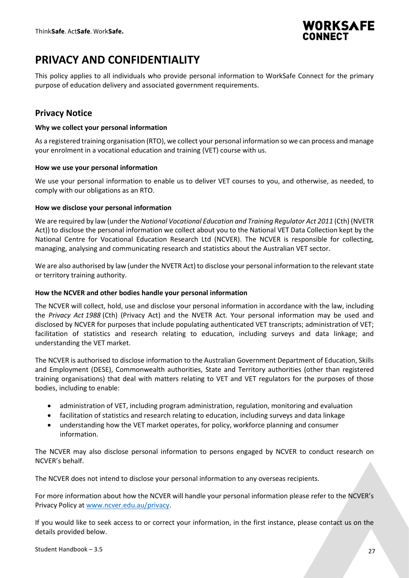

## <span id="page-26-0"></span>**PRIVACY AND CONFIDENTIALITY**

This policy applies to all individuals who provide personal information to WorkSafe Connect for the primary purpose of education delivery and associated government requirements.

### <span id="page-26-1"></span>**Privacy Notice**

#### <span id="page-26-2"></span>**Why we collect your personal information**

As a registered training organisation (RTO), we collect your personal information so we can process and manage your enrolment in a vocational education and training (VET) course with us.

#### <span id="page-26-3"></span>**How we use your personal information**

We use your personal information to enable us to deliver VET courses to you, and otherwise, as needed, to comply with our obligations as an RTO.

#### <span id="page-26-4"></span>**How we disclose your personal information**

We are required by law (under the *National Vocational Education and Training Regulator Act 2011* (Cth) (NVETR Act)) to disclose the personal information we collect about you to the National VET Data Collection kept by the National Centre for Vocational Education Research Ltd (NCVER). The NCVER is responsible for collecting, managing, analysing and communicating research and statistics about the Australian VET sector.

We are also authorised by law (under the NVETR Act) to disclose your personal information to the relevant state or territory training authority.

#### <span id="page-26-5"></span>**How the NCVER and other bodies handle your personal information**

The NCVER will collect, hold, use and disclose your personal information in accordance with the law, including the *Privacy Act 1988* (Cth) (Privacy Act) and the NVETR Act. Your personal information may be used and disclosed by NCVER for purposes that include populating authenticated VET transcripts; administration of VET; facilitation of statistics and research relating to education, including surveys and data linkage; and understanding the VET market.

The NCVER is authorised to disclose information to the Australian Government Department of Education, Skills and Employment (DESE), Commonwealth authorities, State and Territory authorities (other than registered training organisations) that deal with matters relating to VET and VET regulators for the purposes of those bodies, including to enable:

- administration of VET, including program administration, regulation, monitoring and evaluation
- facilitation of statistics and research relating to education, including surveys and data linkage
- understanding how the VET market operates, for policy, workforce planning and consumer information.

The NCVER may also disclose personal information to persons engaged by NCVER to conduct research on NCVER's behalf.

The NCVER does not intend to disclose your personal information to any overseas recipients.

For more information about how the NCVER will handle your personal information please refer to the NCVER's Privacy Policy a[t www.ncver.edu.au/privacy.](http://www.ncver.edu.au/privacy)

If you would like to seek access to or correct your information, in the first instance, please contact us on the details provided below.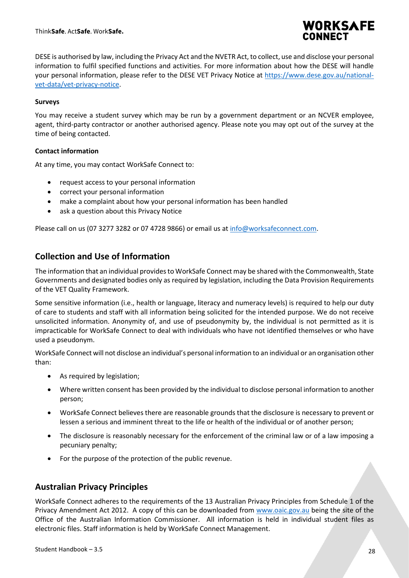

DESE is authorised by law, including the Privacy Act and the NVETR Act, to collect, use and disclose your personal information to fulfil specified functions and activities. For more information about how the DESE will handle your personal information, please refer to the DESE VET Privacy Notice at [https://www.dese.gov.au/national](https://www.dese.gov.au/national-vet-data/vet-privacy-notice)[vet-data/vet-privacy-notice.](https://www.dese.gov.au/national-vet-data/vet-privacy-notice)

#### <span id="page-27-0"></span>**Surveys**

You may receive a student survey which may be run by a government department or an NCVER employee, agent, third-party contractor or another authorised agency. Please note you may opt out of the survey at the time of being contacted.

#### <span id="page-27-1"></span>**Contact information**

At any time, you may contact WorkSafe Connect to:

- request access to your personal information
- correct your personal information
- make a complaint about how your personal information has been handled
- ask a question about this Privacy Notice

Please call on us (07 3277 3282 or 07 4728 9866) or email us at [info@worksafeconnect.com.](mailto:info@worksafeconnect.com)

### <span id="page-27-2"></span>**Collection and Use of Information**

The information that an individual provides to WorkSafe Connect may be shared with the Commonwealth, State Governments and designated bodies only as required by legislation, including the Data Provision Requirements of the VET Quality Framework.

Some sensitive information (i.e., health or language, literacy and numeracy levels) is required to help our duty of care to students and staff with all information being solicited for the intended purpose. We do not receive unsolicited information. Anonymity of, and use of pseudonymity by, the individual is not permitted as it is impracticable for WorkSafe Connect to deal with individuals who have not identified themselves or who have used a pseudonym.

WorkSafe Connect will not disclose an individual's personal information to an individual or an organisation other than:

- As required by legislation;
- Where written consent has been provided by the individual to disclose personal information to another person;
- WorkSafe Connect believes there are reasonable grounds that the disclosure is necessary to prevent or lessen a serious and imminent threat to the life or health of the individual or of another person;
- The disclosure is reasonably necessary for the enforcement of the criminal law or of a law imposing a pecuniary penalty;
- For the purpose of the protection of the public revenue.

#### <span id="page-27-3"></span>**Australian Privacy Principles**

WorkSafe Connect adheres to the requirements of the 13 Australian Privacy Principles from Schedule 1 of the Privacy Amendment Act 2012. A copy of this can be downloaded from [www.oaic.gov.au](http://www.oaic.gov.au/) being the site of the Office of the Australian Information Commissioner. All information is held in individual student files as electronic files. Staff information is held by WorkSafe Connect Management.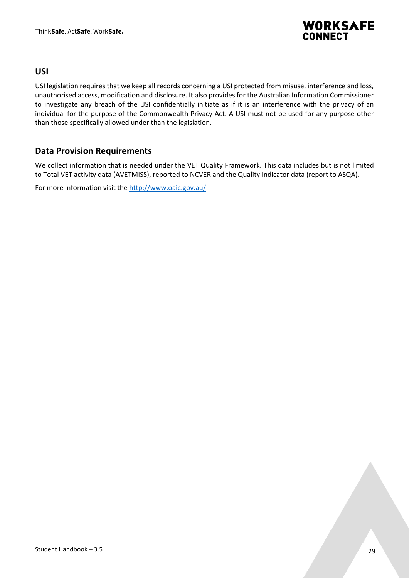

#### <span id="page-28-0"></span>**USI**

USI legislation requires that we keep all records concerning a USI protected from misuse, interference and loss, unauthorised access, modification and disclosure. It also provides for the Australian Information Commissioner to investigate any breach of the USI confidentially initiate as if it is an interference with the privacy of an individual for the purpose of the Commonwealth Privacy Act. A USI must not be used for any purpose other than those specifically allowed under than the legislation.

### <span id="page-28-1"></span>**Data Provision Requirements**

We collect information that is needed under the VET Quality Framework. This data includes but is not limited to Total VET activity data (AVETMISS), reported to NCVER and the Quality Indicator data (report to ASQA).

For more information visit the<http://www.oaic.gov.au/>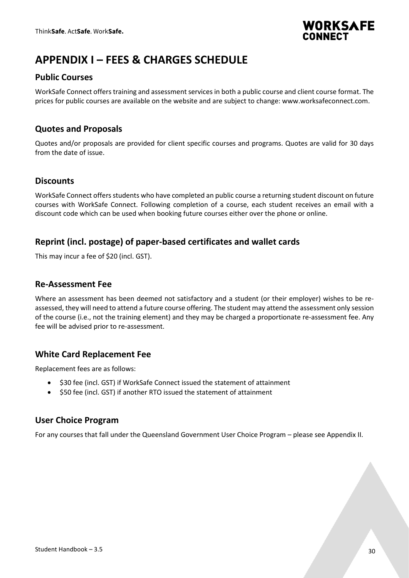

# <span id="page-29-0"></span>**APPENDIX I – FEES & CHARGES SCHEDULE**

### <span id="page-29-1"></span>**Public Courses**

WorkSafe Connect offers training and assessment services in both a public course and client course format. The prices for public courses are available on the website and are subject to change: www.worksafeconnect.com.

### <span id="page-29-2"></span>**Quotes and Proposals**

Quotes and/or proposals are provided for client specific courses and programs. Quotes are valid for 30 days from the date of issue.

#### <span id="page-29-3"></span>**Discounts**

WorkSafe Connect offers students who have completed an public course a returning student discount on future courses with WorkSafe Connect. Following completion of a course, each student receives an email with a discount code which can be used when booking future courses either over the phone or online.

### <span id="page-29-4"></span>**Reprint (incl. postage) of paper-based certificates and wallet cards**

This may incur a fee of \$20 (incl. GST).

### <span id="page-29-5"></span>**Re-Assessment Fee**

Where an assessment has been deemed not satisfactory and a student (or their employer) wishes to be reassessed, they will need to attend a future course offering. The student may attend the assessment only session of the course (i.e., not the training element) and they may be charged a proportionate re-assessment fee. Any fee will be advised prior to re-assessment.

### <span id="page-29-6"></span>**White Card Replacement Fee**

Replacement fees are as follows:

- \$30 fee (incl. GST) if WorkSafe Connect issued the statement of attainment
- \$50 fee (incl. GST) if another RTO issued the statement of attainment

### <span id="page-29-7"></span>**User Choice Program**

For any courses that fall under the Queensland Government User Choice Program – please see Appendix II.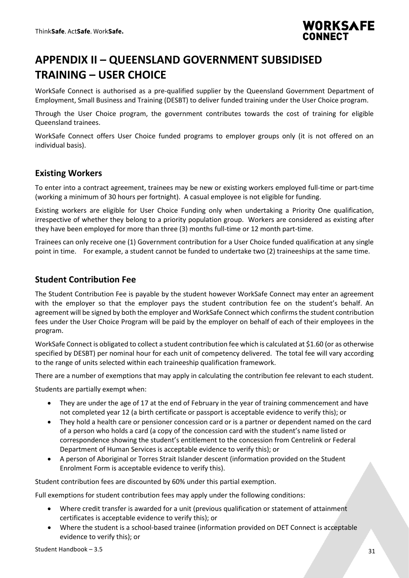

# <span id="page-30-0"></span>**APPENDIX II – QUEENSLAND GOVERNMENT SUBSIDISED TRAINING – USER CHOICE**

WorkSafe Connect is authorised as a pre-qualified supplier by the Queensland Government Department of Employment, Small Business and Training (DESBT) to deliver funded training under the User Choice program.

Through the User Choice program, the government contributes towards the cost of training for eligible Queensland trainees.

WorkSafe Connect offers User Choice funded programs to employer groups only (it is not offered on an individual basis).

### <span id="page-30-1"></span>**Existing Workers**

To enter into a contract agreement, trainees may be new or existing workers employed full-time or part-time (working a minimum of 30 hours per fortnight). A casual employee is not eligible for funding.

Existing workers are eligible for User Choice Funding only when undertaking a Priority One qualification, irrespective of whether they belong to a priority population group. Workers are considered as existing after they have been employed for more than three (3) months full-time or 12 month part-time.

Trainees can only receive one (1) Government contribution for a User Choice funded qualification at any single point in time. For example, a student cannot be funded to undertake two (2) traineeships at the same time.

### <span id="page-30-2"></span>**Student Contribution Fee**

The Student Contribution Fee is payable by the student however WorkSafe Connect may enter an agreement with the employer so that the employer pays the student contribution fee on the student's behalf. An agreement will be signed by both the employer and WorkSafe Connect which confirms the student contribution fees under the User Choice Program will be paid by the employer on behalf of each of their employees in the program.

WorkSafe Connect is obligated to collect a student contribution fee which is calculated at \$1.60 (or as otherwise specified by DESBT) per nominal hour for each unit of competency delivered. The total fee will vary according to the range of units selected within each traineeship qualification framework.

There are a number of exemptions that may apply in calculating the contribution fee relevant to each student.

Students are partially exempt when:

- They are under the age of 17 at the end of February in the year of training commencement and have not completed year 12 (a birth certificate or passport is acceptable evidence to verify this); or
- They hold a health care or pensioner concession card or is a partner or dependent named on the card of a person who holds a card (a copy of the concession card with the student's name listed or correspondence showing the student's entitlement to the concession from Centrelink or Federal Department of Human Services is acceptable evidence to verify this); or
- A person of Aboriginal or Torres Strait Islander descent (information provided on the Student Enrolment Form is acceptable evidence to verify this).

Student contribution fees are discounted by 60% under this partial exemption.

Full exemptions for student contribution fees may apply under the following conditions:

- Where credit transfer is awarded for a unit (previous qualification or statement of attainment certificates is acceptable evidence to verify this); or
- Where the student is a school-based trainee (information provided on DET Connect is acceptable evidence to verify this); or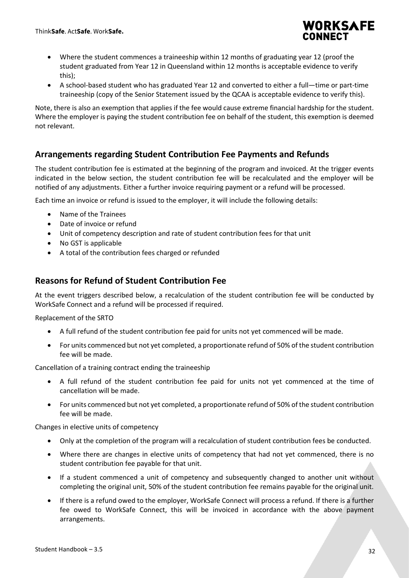

- Where the student commences a traineeship within 12 months of graduating year 12 (proof the student graduated from Year 12 in Queensland within 12 months is acceptable evidence to verify this);
- A school-based student who has graduated Year 12 and converted to either a full—time or part-time traineeship (copy of the Senior Statement issued by the QCAA is acceptable evidence to verify this).

Note, there is also an exemption that applies if the fee would cause extreme financial hardship for the student. Where the employer is paying the student contribution fee on behalf of the student, this exemption is deemed not relevant.

### <span id="page-31-0"></span>**Arrangements regarding Student Contribution Fee Payments and Refunds**

The student contribution fee is estimated at the beginning of the program and invoiced. At the trigger events indicated in the below section, the student contribution fee will be recalculated and the employer will be notified of any adjustments. Either a further invoice requiring payment or a refund will be processed.

Each time an invoice or refund is issued to the employer, it will include the following details:

- Name of the Trainees
- Date of invoice or refund
- Unit of competency description and rate of student contribution fees for that unit
- No GST is applicable
- A total of the contribution fees charged or refunded

### <span id="page-31-1"></span>**Reasons for Refund of Student Contribution Fee**

At the event triggers described below, a recalculation of the student contribution fee will be conducted by WorkSafe Connect and a refund will be processed if required.

Replacement of the SRTO

- A full refund of the student contribution fee paid for units not yet commenced will be made.
- For units commenced but not yet completed, a proportionate refund of 50% of the student contribution fee will be made.

Cancellation of a training contract ending the traineeship

- A full refund of the student contribution fee paid for units not yet commenced at the time of cancellation will be made.
- For units commenced but not yet completed, a proportionate refund of 50% of the student contribution fee will be made.

Changes in elective units of competency

- Only at the completion of the program will a recalculation of student contribution fees be conducted.
- Where there are changes in elective units of competency that had not yet commenced, there is no student contribution fee payable for that unit.
- If a student commenced a unit of competency and subsequently changed to another unit without completing the original unit, 50% of the student contribution fee remains payable for the original unit.
- If there is a refund owed to the employer, WorkSafe Connect will process a refund. If there is a further fee owed to WorkSafe Connect, this will be invoiced in accordance with the above payment arrangements.